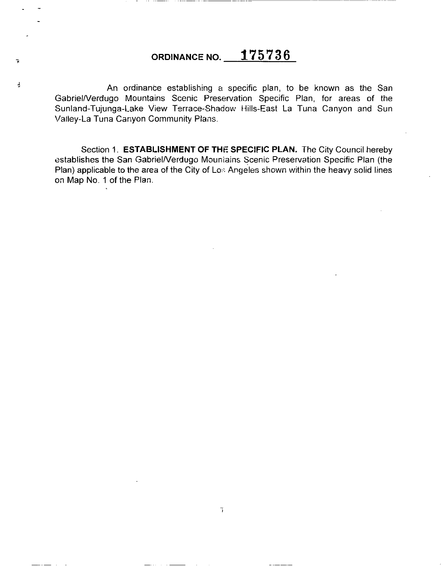# ORDINANCE NO. **175736**

 $\tilde{\mathbf{r}}$ 

 $\frac{1}{2}$ 

------- ------- ------------

An ordinante establishing a specific plan, to be known as the San GabrieiNerdugo Mountains Scenic Preservation Specific Plan, for areas of the Sunland-Tujunga-Lake View Terrace-Shadow Hills-East La Tuna Canyon and Sun Valley-La Tuna Canyon Community Plans.

Section 1. **ESTABLISHMENT OF THE SPECIFIC PLAN.** The City Council hereby establishes the San Gabriel/Verdugo Mountains Scenic Preservation Specific Plan (the Plan) applicable to the area of the City of Los Angeles shown within the heavy solid lines on Map No. 1 of the Plan.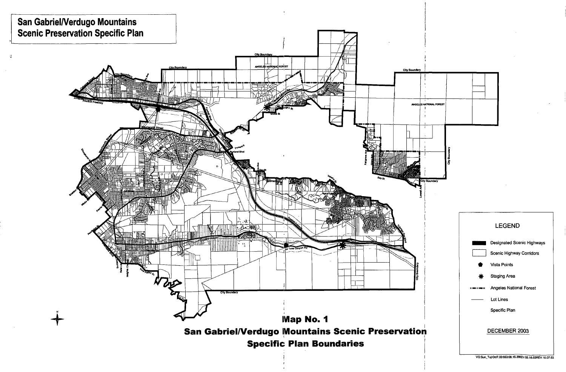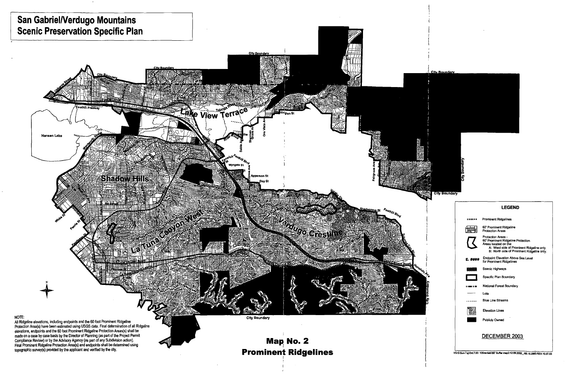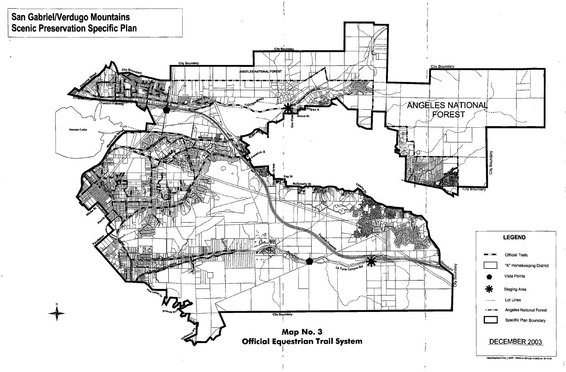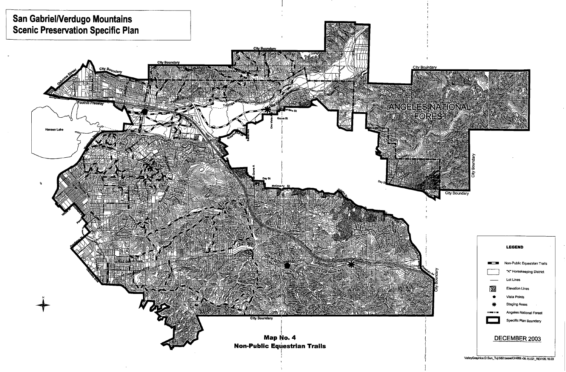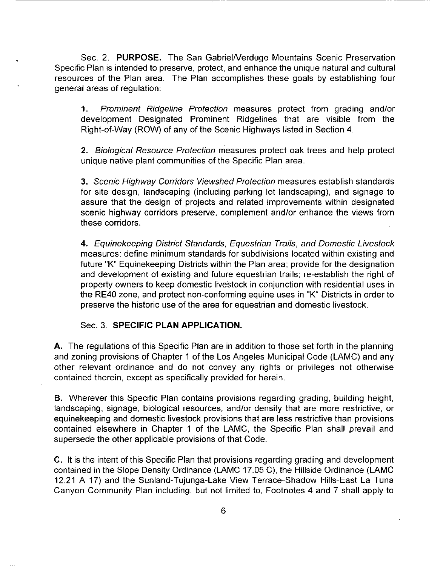Sec. 2. **PURPOSE.** The San Gabriel/Verdugo Mountains Scenic Preservation Specific Plan is intended to preserve, protect, and enhance the unique natural and cultural resources of the Plan area. The Plan accomplishes these goals by establishing four general areas of regulation:

**1.** Prominent Ridgeline Protection measures protect from grading and/or development Designated Prominent Ridgelines that are visible from the Right-of-Way (ROW) of any of the Scenic Highways listed in Section 4.

2. Biological Resource Protection measures protect oak trees and help protect unique native plant communities of the Specific Plan area.

3. Scenic Highway Corridors Viewshed Protection measures establish standards for site design, landscaping (including parking lot landscaping), and signage to assure that the design of projects and related improvements within designated scenic highway corridors preserve, complement and/or enhance the views from these corridors.

**4.** Equinekeeping District Standards, Equestrian Trails, and Domestic Livestock measures: define minimum standards for subdivisions located within existing and future "K" Equinekeeping Districts within the Plan area; provide for the designation and development of existing and future equestrian trails; re-establish the right of property owners to keep domestic livestock in conjunction with residential uses in the RE40 zone, and protect non-conforming equine uses in "K" Districts in order to preserve the historic use of the area for equestrian and domestic livestock.

# Sec. 3. **SPECIFIC PLAN APPLICATION.**

**A.** The regulations of this Specific Plan are in addition to those set forth in the planning and zoning provisions of Chapter 1 of the Los Angeles Municipal Code (LAMC) and any other relevant ordinance and do not convey any rights or privileges not otherwise contained therein, except as specifically provided for herein.

**B.** Wherever this Specific Plan contains provisions regarding grading, building height, landscaping, signage, biological resources, and/or density that are more restrictive, or equinekeeping and domestic livestock provisions that are less restrictive than provisions contained elsewhere in Chapter 1 of the LAMC, the Specific Plan shall prevail and supersede the other applicable provisions of that Code.

C. It is the intent of this Specific Plan that provisions regarding grading and development contained in the Slope Density Ordinance (LAMC 17.05 C), the Hillside Ordinance (LAMC 12.21 A 17) and the Sunland-Tujunga-Lake View Terrace-Shadow Hills-East La Tuna Canyon Community Plan including, but not limited to, Footnotes 4 and 7 shall apply to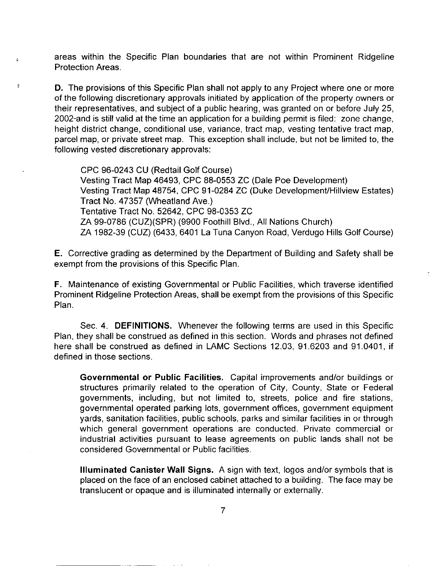areas within the Specific Plan boundaries that are not within Prominent Ridgeline Protection Areas.

 $\hat{\mathbf{z}}$ 

 $\ddot{\phantom{a}}$ 

**D.** The provisions of this Specific Plan shall not apply to any Project where one or more of the following discretionary approvals initiated by application of the property owners or their representatives, and subject of a public hearing, was granted on or before July 25, 2002-and is still valid at the time an application for a building permit is filed: zone change, height district change, conditional use, variance, tract map, vesting tentative tract map, parcel map, or private street map. This exception shall include, but not be limited to, the following vested discretionary approvals:

CPC 96-0243 CU (Redtail Golf Course) Vesting Tract Map 46493, CPC 88-0553 ZC (Dale Poe Development) Vesting Tract Map 48754, CPC 91-0284 ZC (Duke Development/Hillview Estates) Tract No. 47357 (Wheatland Ave.) Tentative Tract No. 52642, CPC 98-0353 ZC ZA 99-0786 (CUZ)(SPR) (9900 Foothill Blvd., All Nations Church) ZA 1982-39 (CUZ) (6433, 6401 La Tuna Canyon Road, Verdugo Hills Golf Course)

**E.** Corrective grading as determined by the Department of Building and Safety shall be exempt from the provisions of this Specific Plan.

**F.** Maintenance of existing Governmental or Public Facilities, which traverse identified Prominent Ridgeline Protection Areas, shall be exempt from the provisions of this Specific Plan.

Sec. 4. **DEFINITIONS.** Whenever the following terms are used in this Specific Plan, they shall be construed as defined in this section. Words and phrases not defined here shall be construed as defined in LAMC Sections 12.03, 91.6203 and 91.0401, if defined in those sections.

**Governmental or Public Facilities.** Capital improvements and/or buildings or structures primarily related to the operation of City, County, State or Federal governments, including, but not limited to, streets, police and fire stations, governmental operated parking lots, government offices, government equipment yards, sanitation facilities, public schools, parks and similar facilities in or through which general government operations are conducted. Private commercial or industrial activities pursuant to lease agreements on public lands shall not be considered Governmental or Public facilities.

**Illuminated Canister Wall Signs.** A sign with text, logos and/or symbols that is placed on the face of an enclosed cabinet attached to a building. The face may be translucent or opaque and is illuminated internally or externally.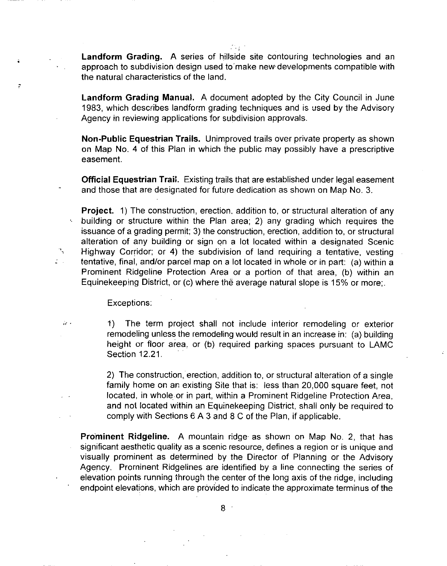$^{\prime}$  ( **Landform Grading.** A series of hillside site contouring technologies and an approach to subdivision design used to make new developments compatible with the natural characteristics of the land,

**Landform Grading Manual.** A document adopted by the City Council in June 1983, which describes landform grading techniques and is used by the Advisory Agency in reviewing applications for subdivision approvals.

**Non-Public Equestrian Trails.** Unimproved trails over private property as shown on Map No. 4 of this Plan in which the public may possibly have a prescriptive easement

**Official Equestrian Trail.** Existing trails that are established under legal easement and those that are designated for future dedication as shown on Map No. 3.

**Project.** 1) The construction, erection. addition to, or structural alteration of any building or structure within the Plan area; 2) any grading which requires the issuance of a grading permit; 3) the construction, erection, addition to, or structural alteration of any building or sign on a lot located within a designated Scenic  $\sqrt{ }$  Highway Corridor; or 4) the subdivision of land requiring a tentative, vesting tentative, final, and/or parcel map on a lot located in whole or in part: (a) within a Prominent Ridgeline Protection Area or a portion of that area, (b) within an Equinekeeping District, or (c) where the average natural slope is 15% or more;.

Exceptions:

 $\mathbb{R}$ 

 $\mathcal{L}^{\text{max}}$ 

 $\dot{a}$ , and the term project shall not include interior remodeling or exterior remodeling unless the remodeling would result in an increase in: (a) building height or floor area, or (b) required parking spaces pursuant to LAMC Section 12.21.

> 2) The construction, erection, addition to, or structural alteration of a single family home on an existing Site that is: less than 20,000 square feet, not located, in whole or in part, within a Prominent Ridgeline Protection Area, and not located within an Equihekeeping District, shall only be required to comply with Sections 6 A 3 and 8 C of the Plan, if applicable.

**Prominent Ridgeline.** A mountain ridge· as shown on Map No. 2, that has significant aesthetic quality as a scenic resource, defines a region or is unique and visually prominent as determined by the Director of Planning or the Advisory Agency. Prominent Ridgelines are identified by a line connecting the series of elevation points running through the center of the long axis of the ridge, including endpoint elevations, which are provided to indicate the approximate terminus of the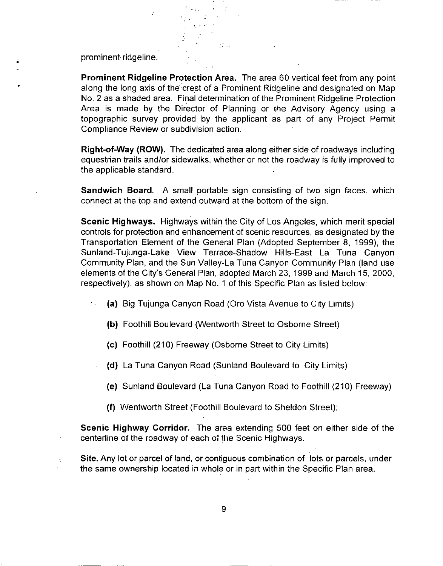prominent ridgeline .

•

 $\ddot{\phantom{a}}$  $\cdot$ 

**Prominent Ridgeline Protection Area.** The area 60 vertical feet from any point along the long axis of the crest of a Prominent Ridgeline and designated on Map No. 2 as a shaded area. Final·determination of the Prominent Ridgeline Protection Area is made by the Director of Planning or the Advisory Agency using a topographic survey provided by the applicant as part of any Project Permit Compliance Review or subdivision action.

 $\mathcal{O}(\mathcal{O}_\mathcal{A})$ 

.-:.

**Right-of-Way (ROW).** The dedicated area along either side of roadways including equestrian trails and/or sidewalks. whether or not the roadway is fully improved to the applicable standard.

**Sandwich Board.** A small portable sign consisting of two sign faces, which connect at the iop and extend outward at the bottom of the sign.

**Scenic Highways.** Highways within the City of Los Angeles, which merit special controls for protection and enhancement of scenic resources, as designated by the Transportation Element of the General Plan (Adopted September 8, 1999), the Sunland-Tujunga-Lake View Terrace-Shadow Hills-East La Tuna Canyon Community Plan, and the Sun Valley-La Tuna Canyon Community Plan (land use elements of the City's General Plan, adopted March 23, 1999 and March 15, 2000, respectively), as shown on Map No. 1 of this Specific Plan as listed below:

- (a) Big Tujunga Canyon Road (Oro Vista Avenue to City Limits) ΣV.
	- **(b)** Foothill Boulevard (Wentworth Street to Osborne Street)
	- (c) Foothill (210) Freeway (Osborne Street to City Limits)
	- **(d)** La Tuna Canyon Road (Sunland Boulevard to City Limits)
		- (e) Sunland Boulevard (La Tuna Canyon Road to Foothill (210) Freeway)
		- **(f)** Wentworth Street (Foothill Boulevard to Sheldon Street);

**Scenic Highway Corridor.** The area extending 500 feet on either side of the centerline of the roadway of each of the Scenic Highways.

**Site.** Any lot or parcel of land, or contiguous combination of lots or parcels, under the same ownership located in whole or in part within the Specific Plan area.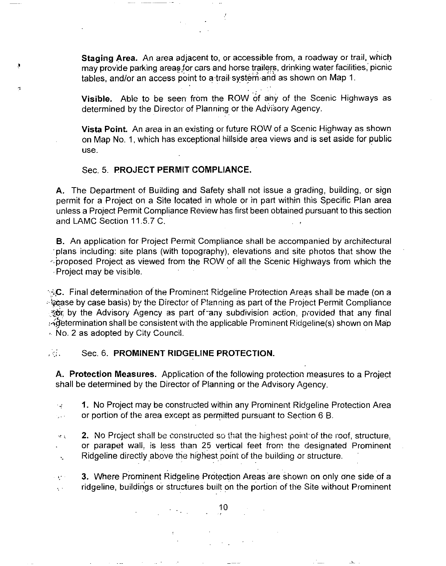**Staging Area.** An area adjacent to, or accessible from, a roadway or trail, which may provide parking areas for cars and horse trailers, drinking water facilities, picnic tables, and/or an access point to a trail system and as shown on Map 1.

**Visible.** Able to be seen from the ROW of any of the Scenic Highways as determined by the Director of Planning or the Advisory Agency.

**Vista Point.** An area in an existing or future ROW of a Scenic Highway as shown on Map No. 1, which has exceptional hillside area views and is set aside for public use.

# Sec. 5. **PROJECT PERMIT COMPLIANCE.**

- - .

**A.** The Department of Building and Safety shall not issue a grading, building, or sign permit for a Project on a Site located in whole or in part within this Specific Plan area unless a Project Permit Compliance Review has first been obtained pursuant to this section and LAMC Section 11.5.7 C.

**B.** An application for Project Permit Compliance shall be accompanied by architectural ·plans including: site plans (with topography), elevations and site photos that show the  $\cdot$  proposed Project as viewed from the ROW of all the Scenic Highways from which the ·Project may be visible. ·

 $\sim$ ; $\sim$ , Final determination of the Prominent Ridgeline Protection Areas shall be made (on a  $\sim$  case by case basis) by the Director of Planning as part of the Project Permit Compliance the Advisory Agency as part of any subdivision action, provided that any final  $\mathbb{R}$  determination shall be consistent with the applicable Prominent Ridgeline(s) shown on Map · No. 2 as adopted by City Council.

### **Fig. 6. Sec. 6. PROMINENT RIDGELINE PROTECTION.**

**A. Protection Measures.** Application of the following protection measures to a Project shall be determined by the Director of Planning or the Advisory Agency.

**1.** No Project may be constructed within any Prominent Ridgeline Protection Area °∉ or portion of the area except as permitted pursuant to Section 6 B. بالراد

**2.** No Project shall be constructed so that the highest point of the roof, structure,  $\sigma$  ; or parapet wall, is less than 25 vertical feet from the designated Prominent Ridgeline directly above the highest point of the building or structure. ·.

3. Where Prominent Ridgeline Protection Areas are shown on only one side of a ,. ridgeline, buildings or structures built on the portion of the Site without Prominent  $\sim$ 

 $10^{10}$  10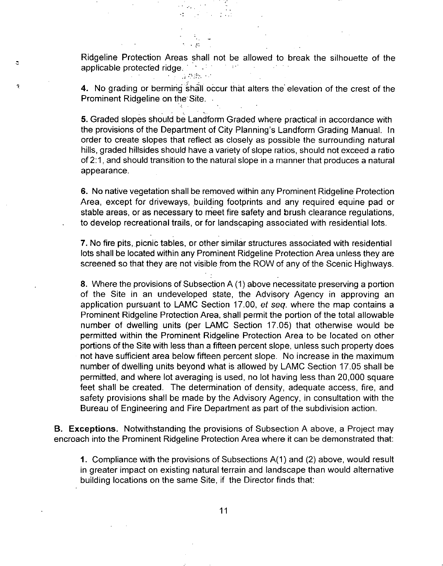Ridgeline Protection Areas shall not be allowed to break the silhouette of the applicable protected ridge. the part

.-..

k.

 $\ddot{\circ}$ 

 $\ddot{\phantom{a}}$ 

**4.** No grading or berming shall occur that alters the elevation of the crest of the Prominent Ridgeline on the Site.

**5.** Graded slopes should be Landform Graded where practical in accordance with the provisions of the Department of City Planning's Landform Grading Manual. In order to create slopes that reflect as closely as possible the surrounding natural hills, graded hillsides should have a variety of slope ratios, should not exceed a ratio of 2:1, and should transition to the natural slope in a manner that produces a natural appearance.

6. No native vegetation shall be removed within any Prominent Ridgeline Protection Area, except for driveways, building footprints and any required equine pad or stable areas, or as necessary to meet fire safety and brush clearance regulations, to develop recreational trails, or for landscaping associated with residential lots.

**7.** No fire pits, picnic tables, or other similar structures associated with residential lots shall be located within any Prominent Ridgeline Protection Area unless they are screened so that they are not visible from the ROW of any of the Scenic Highways.

8. Where the provisions of Subsection A (1) above necessitate preserving a portion of the Site in an undeveloped state, the Advisory Agency in approving an application pursuant to LAMC Section 17.00, et seq. where the map contains a Prominent Ridgeline Protection Area, shall permit the portion of the total allowable number of dwelling units (per LAMC Section 17.05) that otherwise would be permitted within the Prominent Ridgeline Protection Area to be located on other portions of the Site with less than a fifteen percent slope, unless such property does not have sufficient area below fifteen percent slope. No increase in the maximum number of dwelling units beyond what is allowed by LAMC Section 17.05 shall be permitted, and where lot averaging is used, no lot having less than 20,000 square feet shall be created. The determination of density, adequate access, fire, and safety provisions shall be made by the Advisory Agency, in consultation with the Bureau of Engineering and Fire Department as part of the subdivision action.

**B. Exceptions.** Notwithstanding the provisions of Subsection A above, a Project may encroach into the Prominent Ridgeline Protection Area where it can be demonstrated that:

**1.** Compliance with the provisions of Subsections A(1) and (2) above, would result in greater impact on existing natural terrain and landscape than would alternative building locations on the same Site, if the Director finds that: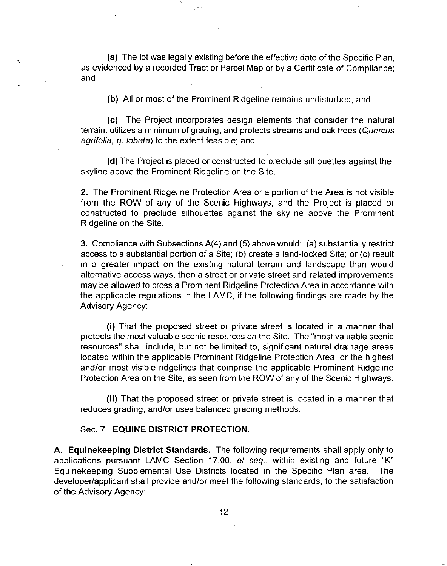(a) The lot was legally existing before the effective date of the Specific Plan, as evidenced by a recorded Tract or Parcel Map or by a Certificate of Compliance; and

 $\mathfrak{S}$ 

**(b)** All or most of the Prominent Ridgeline remains undisturbed; and

(c) The Project incorporates design elements that consider the natural terrain, utilizes a minimum of grading, and protects streams and oak trees (Quercus agrifolia, q. lobata) to the extent feasible; and

**(d)** The Project is placed or constructed to preclude silhouettes against the skyline above the Prominent Ridgeline on the Site.

2. The Prominent Ridgeline Protection Area or a portion of the Area is not visible from the ROW of any of the Scenic Highways, and the Project is placed or constructed to preclude silhouettes against the skyline above the Prominent Ridgeline on the Site.

3. Compliance with Subsections A(4) and (5) above would: (a) substantially restrict access to a substantial portion of a Site; (b) create a land-locked Site; or (c) result in a greater impact on the existing natural terrain and landscape than would alternative access ways, then a street or private street and related improvements may be allowed to cross a Prominent Ridgeline Protection Area in accordance with the applicable regulations in the LAMC, if the following findings are made by the Advisory Agency:

**(i)** That the proposed street or private street is located in a manner that protects the most valuable scenic resources on the Site. The "most valuable scenic resources" shall include, but not be limited to, significant natural drainage areas located within the applicable Prominent Ridgeline Protection Area, or the highest and/or most visible ridgelines that comprise the applicable Prominent Ridgeline Protection Area on the Site, as seen from the ROW of any of the Scenic Highways.

**(ii)** That the proposed street or private street is located in a manner that reduces grading, and/or uses balanced grading methods.

### Sec. 7. **EQUINE DISTRICT PROTECTION.**

**A. Equinekeeping District Standards.** The following requirements shall apply only to applications pursuant LAMC Section 17.00, et seq., within existing and future "K" Equinekeeping Supplemental Use Districts located in the Specific Plan area. The developer/applicant shall provide and/or meet the following standards, to the satisfaction of the Advisory Agency: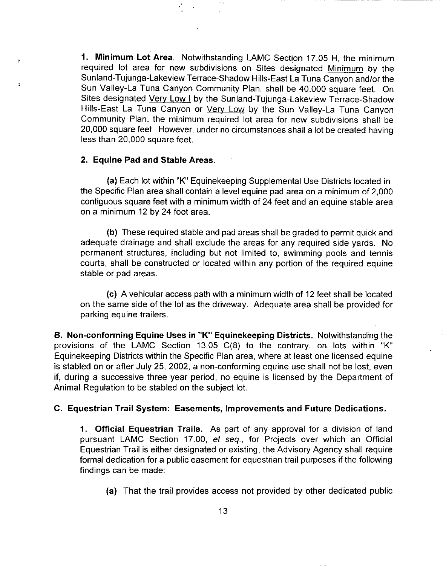**1. Minimum Lot Area.** Notwithstanding LAMC Section 17.05 **H,** the minimum required lot area for new subdivisions on Sites designated Minimum by the Sunland-Tujunga-Lakeview Terrace-Shadow Hills-East La Tuna Canyon and/or the Sun Valley-La Tuna Canyon Community Plan, shall be 40,000 square feet. On Sites designated Very Low I by the Sunland-Tujunga-Lakeview Terrace-Shadow Hills-East La Tuna Canyon or Very Low by the Sun Valley-La Tuna Canyon Community Plan, the minimum required lot area for new subdivisions shall be 20,000 square feet. However, under no circumstances shall a lot be created having less than 20,000 square feet.

### **2. Equine Pad and Stable Areas.**

È.

**(a)** Each lot within "K" Equinekeeping Supplemental Use Districts located in the Specific Plan area shall contain a level equine pad area on a minimum of 2,000 contiguous square feet with a minimum width of 24 feet and an equine stable area on a minimum 12 by 24 foot area.

**(b)** These required stable and pad areas shall be graded to permit quick and adequate drainage and shall exclude the areas for any required side yards. No permanent structures, including but not limited to, swimming pools and tennis courts, shall be constructed or located within any portion of the required equine stable or pad areas.

(c) A vehicular access path with a minimum width of 12 feet shall be located on the same side of the lot as the driveway. Adequate area shall be provided for parking equine trailers.

**B. Non-conforming Equine Uses in "K" Equinekeeping Districts.** Notwithstanding the provisions of the LAMC Section 13.05 C(8) to the contrary, on lots within "K" Equinekeeping Districts within the Specific Plan area, where at least one licensed equine is stabled on or after July 25, 2002, a non-conforming equine use shall not be lost, even if, during a successive three year period, no equine is licensed by the Department of Animal Regulation to be stabled on the subject lot.

# **C. Equestrian Trail System: Easements, Improvements and Future Dedications.**

**1. Official Equestrian Trails.** As part of any approval for a division of land pursuant LAMC Section 17.00, et seq., for Projects over which an Official Equestrian Trail is either designated or existing, the Advisory Agency shall require formal dedication for a public easement for equestrian trail purposes if the following findings can be made:

**(a)** That the trail provides access not provided by other dedicated public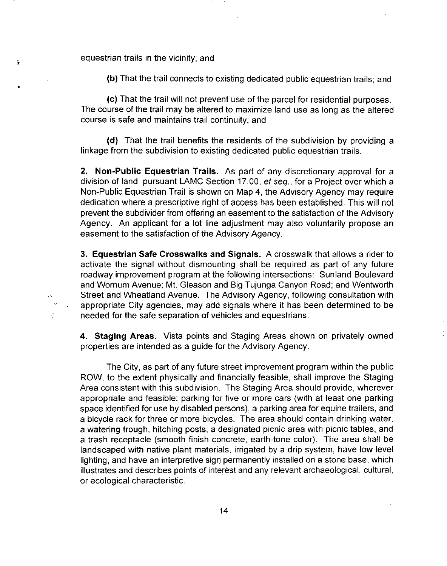equestrian trails in the vicinity; and

Ť

 $\mathcal{A}_\bullet$  $\epsilon=60$  $\mathbb{R}^{\bullet}$ 

**(b)** That the trail connects to existing dedicated public equestrian trails; and

(c) That the trail will not prevent use of the parcel for residential purposes. The course of the trail may be altered to maximize land use as long as the altered course is safe and maintains trail continuity; and

**(d)** That the trail benefits the residents of the subdivision by providing a linkage from the subdivision to existing dedicated public equestrian trails.

**2. Non-Public Equestrian Trails.** As part of any discretionary approval for a division of land pursuant LAMC Section 17.00, et seq., for a Project over which a Non-Public Equestrian Trail is shown on Map 4, the Advisory Agency may require dedication where a prescriptive right of access has been established. This will not prevent the subdivider from offering an easement to the satisfaction of the Advisory Agency. An applicant for a lot line adjustment may also voluntarily propose an easement to the satisfaction of the Advisory Agency.

**3. Equestrian Safe Crosswalks and Signals.** A crosswalk that allows a rider to activate the signal without dismounting shall be required as part of any future roadway improvement program at the following intersections: Sunland Boulevard and Wornum Avenue; Mt. Gleason and Big Tujunga Canyon Road; and Wentworth Street and Wheatland Avenue. The Advisory Agency, following consultation with appropriate City agencies, may add signals where it has been determined to be needed for the safe separation of vehicles and equestrians.

**4. Staging Areas.** Vista points and Staging Areas shown on privately owned properties are intended as a guide for the Advisory Agency.

The City, as part of any future street improvement program within the public ROW, to the extent physically and financially feasible, shall improve the Staging Area consistent with this subdivision. The Staging Area should provide, wherever appropriate and feasible: parking for five or more cars (with at least one parking space identified for use by disabled persons), a parking area for equine trailers, and a bicycle rack for three or more bicycles. The area should contain drinking water, a watering trough, hitching posts, a designated picnic area with picnic tables, and a trash receptacle (smooth finish concrete, earth-tone color). The area shall be landscaped with native plant materials, irrigated by a drip system, have low level lighting, and have an interpretive sign permanently installed on a stone base, which illustrates and describes points of interest and any relevant archaeological, cultural, or ecological characteristic.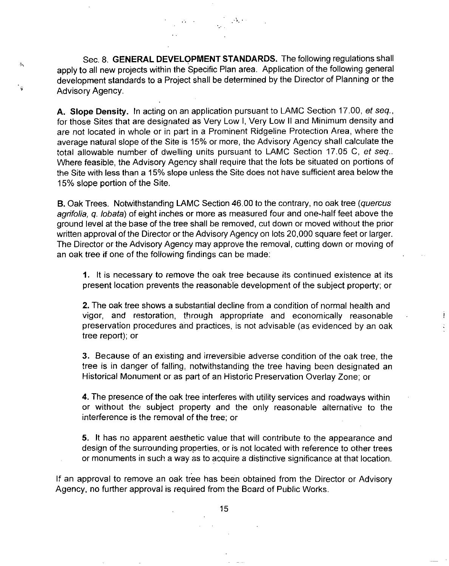Sec. 8. **GENERAL DEVELQPMENT STANDARDS.** The following regulations shall apply to all new projects within the Specific Plan area. Application of the following general development standards to a Project shall be determined by the Director of Planning or the Advisory Agency.

 $\mathcal{A} \mathcal{U} \rightarrow \mathcal{U} \cup \mathcal{U}$ 

 $\mathcal{N}_{\mathcal{C}}$  :

 $\hat{\sigma}_\mathrm{v}$ 

**A. Slope Density.** In acting on an application pursuant to LAMC Section 17.00, et seq., for those Sites that are designated as Very Low I, Very Low II and Minimum density and are not located in whole or in part in a Prominent Ridgeline Protection Area, where the average natural slope of the Site is 15% or more, the Advisory Agency shall calculate the total allowable number of dwelling units pursuant to LAMC Section 17.05 C, et seq.. Where feasible, the Advisory Agency shall require that the Jots be situated on portions of the Site with less than a 15% slope unless the Site does not have sufficient area below the 15% slope portion of the Site.

**B.** Oak Trees. Notwithstanding LAMC Section 46.00 to the contrary, no oak tree (quercus agrifolia, q. lobata) of eight inches or more as measured four and one-half feet above the ground level at the base of the tree shall be removed, cut down or moved without the prior written approval of the Director or the Advisory Agency on lots 20,000 square feet or larger. The Director or the Advisory Agency may approve the removal, cutting down or moving of an oak tree if one of the following findings can be made:

**1.** It is necessary to remove the oak tree because its continued existence at its present location prevents the reasonable development of the subject property; or

2. The oak tree shows a substantial decline from a condition of normal health and vigor, and restoration, through appropriate and economically reasonable preservation procedures and practices, is not advisable (as evidenced by an oak tree report); or

3. Because of an existing and irreversible adverse condition of the oak tree, the tree is in danger of falling, notwithstanding the tree having been designated an Historical Monument or as part of an Historic Preservation Overlay Zone; or

**4.** The presence of the oak tree interferes with utility services and roadways within or without the subject property and the only reasonable alternative to the interference is the removal of the tree; or

**5.** It has no apparent aesthetic value that will contribute to the appearance and design of the surrounding properties, or is not located with reference to other trees or monuments in such a way as to acquire a distinctive significance at that location.

If an approval to remove an oak tree has been obtained from the Director or Advisory Agency, no further approval is required from the Board of Public Works.

15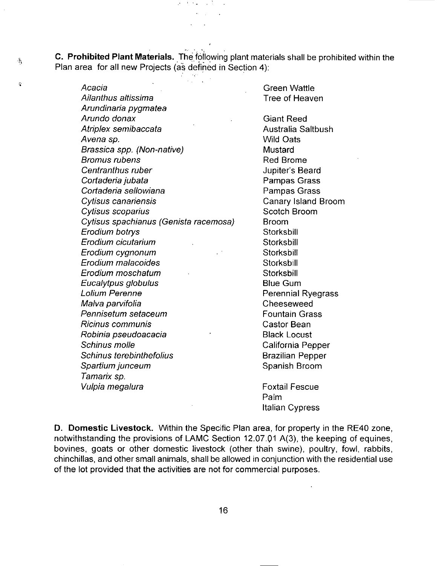**C. Prohibited Plant Materials.** The following plant materials shall be prohibited within the Plan area for all new Projects (as defined in Section 4):

シート・コール むし

 $\tilde{\gamma}$ 

 $\hat{\mathbf{r}}$ 

Acacia Ailanthus altissima Arundinaria pygmatea Arundo donax Atriplex semibaccata Avena sp. Brassica spp. (Non-native) Bromus rubens Centranthus ruber Cortaderia jubata Cortaderia sellowiana Cytisus canariensis Cytisus scoparius Cytisus spachianus (Genista racemosa) Erodium botrys Erodium cicutarium Erodium cygnonum Erodium malacoides Erodium moschatum Eucalytpus globulus Lolium Perenne Malva parvifolia Pennisetum setaceum Ricinus communis Robinia pseudoacacia Schinus molle Schinus terebinthefolius Spartium junceum Tamarix sp. Vulpia megalura Green Wattle Tree of Heaven **Mustard** Broom **Storksbill** Storksbill **Storksbill Storksbill Storksbill** Foxtail Fescue

Giant Reed Australia Saltbush Wild Oats Red Brome Jupiter's Beard Pampas Grass Pampas Grass Canary Island Broom Scotch Broom Blue Gum Perennial Ryegrass Cheeseweed Fountain Grass Castor Bean Black Locust California Pepper Brazilian Pepper Spanish Broom

Palm Italian Cypress

**D. Domestic Livestock.** Within the Specific Plan area, for property in the RE40 zone, notwithstanding the provisions of LAMC Section 12.07.01 A(3), the keeping of equines, bovines, goats or other domestic livestock (other thah swine), poultry, fowl, rabbits, chinchillas, and other small animals, shall be allowed in conjunction with the residential use of the lot provided that the activities are not for commercial purposes.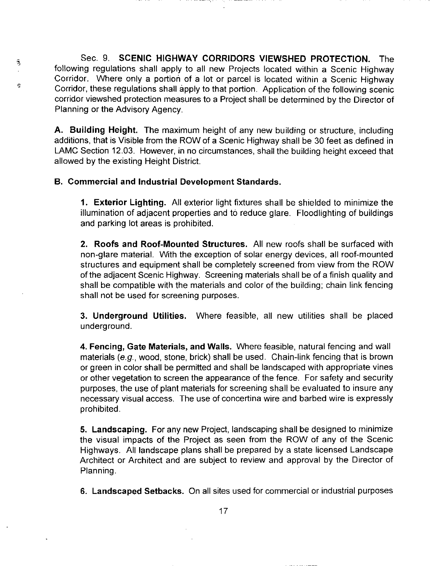Sec. 9. **SCENIC HIGHWAY CORRIDORS VIEWSHED PROTECTION.** The following regulations shall apply to all new Projects located within a Scenic Highway Corridor. Where only a portion of a lot or parcel is located within a Scenic Highway Corridor, these regulations shall apply to that portion. Application of the following scenic corridor viewshed protection measures to a Project shall be determined by the Director of Planning or the Advisory Agency.

**A. Building Height.** The maximum height of any new building or structure, including additions, that is Visible from the ROW of a Scenic Highway shall be 30 feet as defined in LAMC Section 12.03. However, in no circumstances, shall the building height exceed that allowed by the existing Height District.

### **B. Commercial and Industrial Development Standards.**

 $\widehat{\tau}$ 

ė

**1. Exterior Lighting.** All exterior light fixtures shall be shielded to minimize the illumination of adjacent properties and to reduce glare. Floodlighting of buildings and parking lot areas is prohibited.

**2. Roofs and Roof-Mounted Structures.** All new roofs shall be surfaced with non-glare material. With the exception of solar energy devices, all roof-mounted structures and equipment shall be completely screened from view from the ROW of the adjacent Scenic Highway. Screening materials shall be of a finish quality and shall be compatible with the materials and color of the building; chain link fencing shall not be used for screening purposes.

**3. Underground Utilities.** Where feasible, all new utilities shall be placed underground.

**4. Fencing, Gate Materials, and Walls.** Where feasible, natural fencing and wall materials (e.g., wood, stone, brick) shall be used. Chain-link fencing that is brown or green in color shall be permitted and shall be landscaped with appropriate vines or other vegetation to screen the appearance of the fence. For safety and security purposes, the use of plant materials for screening shall be evaluated to insure any necessary visual access. The use of concertina wire and barbed wire is expressly prohibited.

**5. Landscaping.** For any new Project, landscaping shall be designed to minimize the visual impacts of the Project as seen from the ROW of any of the Scenic Highways. All landscape plans shall be prepared by a state licensed Landscape Architect or Architect and are subject to review and approval by the Director of Planning.

**6. Landscaped Setbacks.** On all sites used for commercial or industrial purposes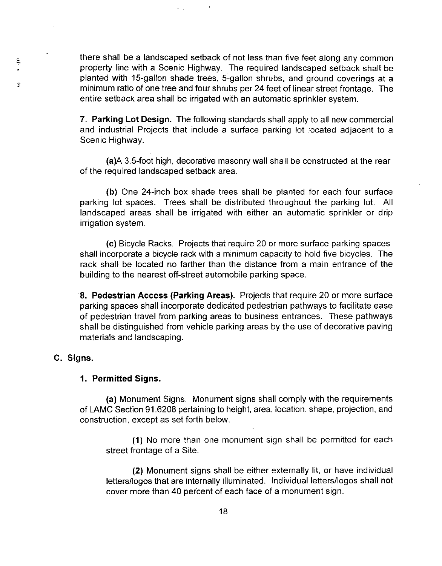there shall be a landscaped setback of not less than five feet along any common property line with a Scenic Highway. The required landscaped setback shall be planted with 15-gallon shade trees, 5-gallon shrubs, and ground coverings at a minimum ratio of one tree and four shrubs per 24 feet of linear street frontage. The entire setback area shall be irrigated with an automatic sprinkler system.

 $\sim$   $\sim$ 

**7. Parking Lot Design.** The following standards shall apply to all new commercial and industrial Projects that include a surface parking lot located adjacent to a Scenic Highway.

(a)A 3.5-foot high, decorative masonry wall shall be constructed at the rear of the required landscaped setback area.

**(b)** One 24-inch box shade trees shall be planted for each four surface parking lot spaces. Trees shall be distributed throughout the parking lot. All landscaped areas shall be irrigated with either an automatic sprinkler or drip irrigation system.

(c) Bicycle Racks. Projects that require 20 or more surface parking spaces shall incorporate a bicycle rack with a minimum capacity to hold five bicycles. The rack shall be located no farther than the distance from a main entrance of the building to the nearest off-street automobile parking space.

**8. Pedestrian Access (Parking Areas).** Projects that require 20 or more surface parking spaces shall incorporate dedicated pedestrian pathways to facilitate ease of pedestrian travel from parking areas to business entrances. These pathways shall be distinguished from vehicle parking areas by the use of decorative paving materials and landscaping.

# **C. Signs.**

Ş,

 $\hat{z}$ 

# **1. Permitted Signs.**

**(a)** Monument Signs. Monument signs shall comply with the requirements of LAMC Section 91.6208 pertaining to height, area, location, shape, projection, and construction, except as set forth below.

**(1)** No more than one monument sign shall be permitted for each street frontage of a Site.

**(2)** Monument signs shall be either externally lit, or have individual letters/logos that are internally illuminated. Individual letters/logos shall not cover more than 40 percent of each face of a monument sign.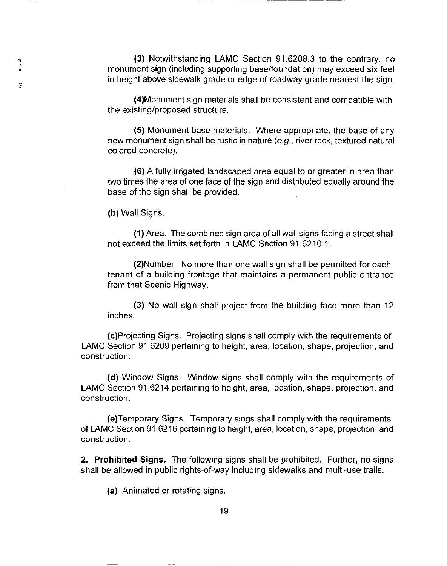(3) Notwithstanding LAMC Section 91.6208.3 to the contrary, no monument sign (including supporting base/foundation) may exceed six feet in height above sidewalk grade or edge of roadway grade nearest the sign.

(4)Monument sign materials shall be consistent and compatible with the existing/proposed structure.

**(5)** Monument base materials. Where appropriate, the base of any new monument sign shall be rustic in nature (e.g., river rock, textured natural colored concrete).

(6) A fully irrigated landscaped area equal to or greater in area than two times the area of one face of the sign and distributed equally around the base of the sign shall be provided.

**(b)** Wall Signs.

 $- - - -$ 

ä,

 $\bar{\mathbb{R}}$ 

**(1)** Area. The combined sign area of all wall signs facing a street shall not exceed the limits set forth in LAMC Section 91.6210.1.

(2)Number. No more than one wall sign shall be permitted for each tenant of a building frontage that maintains a permanent public entrance from that Scenic Highway.

(3) No wall sign shall project from the building face more than 12 inches.

(c)Projecting Signs. Projecting signs shall comply with the requirements of LAMC Section 91.6209 pertaining to height, area, location, shape, projection, and construction.

**(d)** Window Signs. Window signs shall comply with the requirements of LAMC Section 91.6214 pertaining to height, area, location, shape, projection, and construction.

(e)Temporary Signs. Temporary sings shall comply with the requirements of LAMC Section 91.6216 pertaining to height, area, location, shape, projection, and construction.

**2. Prohibited Signs.** The following signs shall be prohibited. Further, no signs shall be allowed in public rights-of-way including sidewalks and multi-use trails.

(a) Animated or rotating signs.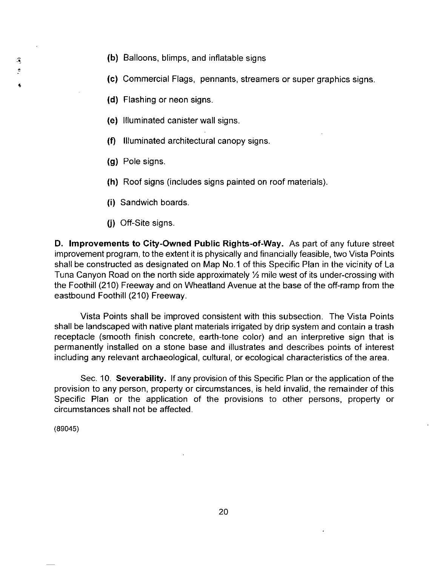S Î. •

- **(b)** Balloons, blimps, and inflatable signs
- **(c)** Commercial Flags, pennants, streamers or super graphics signs .
- **(d)** Flashing or neon signs.
- (e) Illuminated canister wall signs.
- **(f)** Illuminated architectural canopy signs.
- **(g)** Pole signs.
- **(h)** Roof signs (includes signs painted on roof materials).
- **(i)** Sandwich boards.
- (i) Off-Site signs.

**D. Improvements to City-Owned Public Rights-of-Way.** As part of any future street improvement program, to the extent it is physically and financially feasible, two Vista Points shall be constructed as designated on Map No.1 of this Specific Plan in the vicinity of La Tuna Canyon Road on the north side approximately <sup>1/2</sup> mile west of its under-crossing with the Foothill (210) Freeway and on Wheatland Avenue at the base of the off-ramp from the eastbound Foothill (210) Freeway.

Vista Points shall be improved consistent with this subsection. The Vista Points shall be landscaped with native plant materials irrigated by drip system and contain a trash receptacle (smooth finish concrete, earth-tone color) and an interpretive sign that is permanently installed on a stone base and illustrates and describes points of interest including any relevant archaeological, cultural, or ecological characteristics of the area.

Sec. 10. **Severability.** If any provision of this Specific Plan or the application of the provision to any person, property or circumstances, is held invalid, the remainder of this Specific Plan or the application of the provisions to other persons, property or circumstances shall not be affected.

(89045)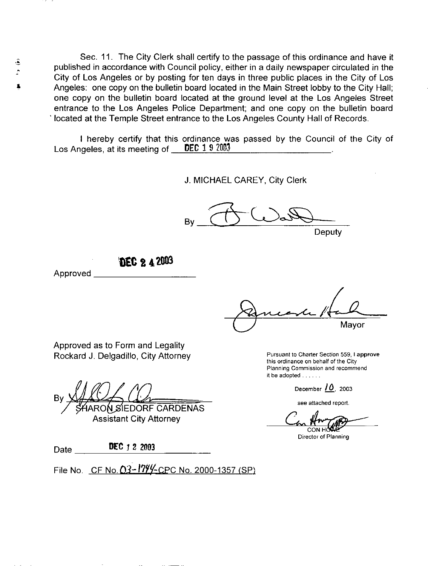Sec. 11. The City Clerk shall certify to the passage of this ordinance and have it published in accordance with Council policy, either in a daily newspaper circulated in the City of Los Angeles or by posting for ten days in three public places in the City of Los Angeles: one copy on the bulletin board located in the Main Street lobby to the City Hall; one copy on the bulletin board located at the ground level at the Los Angeles Street entrance to the Los Angeles Police Department; and one copy on the bulletin board · located at the Temple Street entrance to the Los Angeles County Hall of Records.

I hereby certify that this ordinance was passed by the Council of the City of Los Angeles, at its meeting of  $\blacksquare$  DEC 1 9 2003.

J. MICHAEL CAREY, City Clerk

 $\begin{picture}(18,14) \put(0,0){\line(1,0){155}} \put(10,0){\line(1,0){155}} \put(10,0){\line(1,0){155}} \put(10,0){\line(1,0){155}} \put(10,0){\line(1,0){155}} \put(10,0){\line(1,0){155}} \put(10,0){\line(1,0){155}} \put(10,0){\line(1,0){155}} \put(10,0){\line(1,0){155}} \put(10,0){\line(1,0){155}} \put(10,0){\line(1,0){155}} \$ 

Deputy

**'llEC t 4 20tl3** 

Approved \_\_\_\_\_\_\_\_\_ \_

&

۸

Mayor

Approved as to Form and Legality Rockard J. Delgadillo, City Attorney

**ARON SIEDORF CARDENAS** 

Assistant City Attorney

Date **DEC** 1 2 2003

File No. CF No.  $0.3 - 1799 -$ CPC No. 2000-1357 (SP)

Pursuant to Charter Section 559, I **approve**  this ordinance on behalf of the City Planning Commission and recommend it be adopted . . . . . .

December / *0.* <sup>2003</sup>

see attached report.

CONH Director of Planning